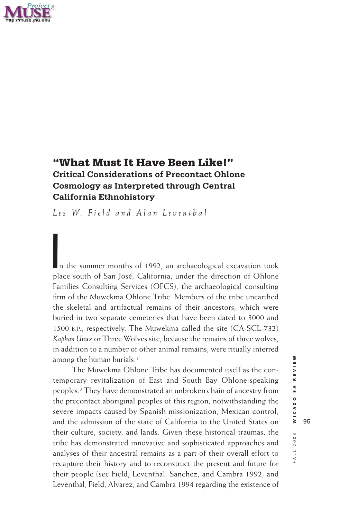

# **"What Must It Have Been Like!" Critical Considerations of Precontact Ohlone Cosmology as Interpreted through Central California Ethnohistory**

*L e s W. F i e l d a n d A l a n L e v e n t h a l*

In the summer months of 1992, an archaeological excavation took place south of San José, California, under the direction of Ohlone Families Consulting Services (OFCS), the archaeological consulting firm of the Muwekma Ohlone Tribe. Members of the tribe unearthed the skeletal and artifactual remains of their ancestors, which were buried in two separate cemeteries that have been dated to 3000 and 1500 B.P., respectively. The Muwekma called the site (CA-SCL-732) *Kaphan Unux* or Three Wolves site, because the remains of three wolves, in addition to a number of other animal remains, were ritually interred among the human burials.<sup>1</sup>

The Muwekma Ohlone Tribe has documented itself as the contemporary revitalization of East and South Bay Ohlone-speaking peoples.2 They have demonstrated an unbroken chain of ancestry from the precontact aboriginal peoples of this region, notwithstanding the severe impacts caused by Spanish missionization, Mexican control, and the admission of the state of California to the United States on their culture, society, and lands. Given these historical traumas, the tribe has demonstrated innovative and sophisticated approaches and analyses of their ancestral remains as a part of their overall effort to recapture their history and to reconstruct the present and future for their people (see Field, Leventhal, Sanchez, and Cambra 1992; and Leventhal, Field, Alvarez, and Cambra 1994 regarding the existence of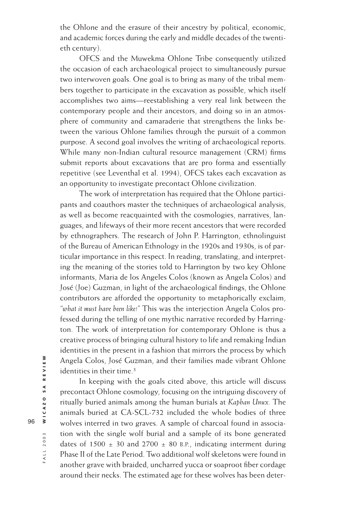the Ohlone and the erasure of their ancestry by political, economic, and academic forces during the early and middle decades of the twentieth century).

OFCS and the Muwekma Ohlone Tribe consequently utilized the occasion of each archaeological project to simultaneously pursue two interwoven goals. One goal is to bring as many of the tribal members together to participate in the excavation as possible, which itself accomplishes two aims—reestablishing a very real link between the contemporary people and their ancestors, and doing so in an atmosphere of community and camaraderie that strengthens the links between the various Ohlone families through the pursuit of a common purpose. A second goal involves the writing of archaeological reports. While many non-Indian cultural resource management (CRM) firms submit reports about excavations that are pro forma and essentially repetitive (see Leventhal et al. 1994), OFCS takes each excavation as an opportunity to investigate precontact Ohlone civilization.

The work of interpretation has required that the Ohlone participants and coauthors master the techniques of archaeological analysis, as well as become reacquainted with the cosmologies, narratives, languages, and lifeways of their more recent ancestors that were recorded by ethnographers. The research of John P. Harrington, ethnolinguist of the Bureau of American Ethnology in the 1920s and 1930s, is of particular importance in this respect. In reading, translating, and interpreting the meaning of the stories told to Harrington by two key Ohlone informants, Maria de los Angeles Colos (known as Angela Colos) and José (Joe) Guzman, in light of the archaeological findings, the Ohlone contributors are afforded the opportunity to metaphorically exclaim, *"what it must have been like!"* This was the interjection Angela Colos professed during the telling of one mythic narrative recorded by Harrington. The work of interpretation for contemporary Ohlone is thus a creative process of bringing cultural history to life and remaking Indian identities in the present in a fashion that mirrors the process by which Angela Colos, José Guzman, and their families made vibrant Ohlone identities in their time.<sup>3</sup>

In keeping with the goals cited above, this article will discuss precontact Ohlone cosmology, focusing on the intriguing discovery of ritually buried animals among the human burials at *Kaphan Unux.* The animals buried at CA-SCL-732 included the whole bodies of three wolves interred in two graves. A sample of charcoal found in association with the single wolf burial and a sample of its bone generated dates of 1500  $\pm$  30 and 2700  $\pm$  80 B.P., indicating interment during Phase II of the Late Period. Two additional wolf skeletons were found in another grave with braided, uncharred yucca or soaproot fiber cordage around their necks. The estimated age for these wolves has been deter-

FALL 2003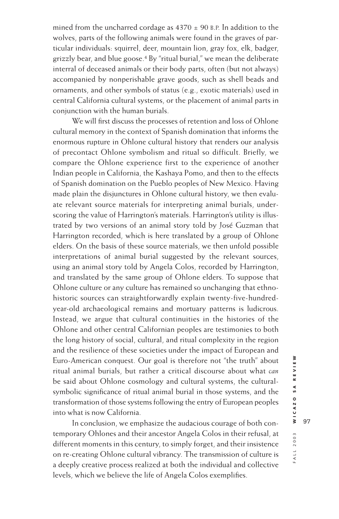mined from the uncharred cordage as  $4370 \pm 90$  B.P. In addition to the wolves, parts of the following animals were found in the graves of particular individuals: squirrel, deer, mountain lion, gray fox, elk, badger, grizzly bear, and blue goose.4 By "ritual burial," we mean the deliberate interral of deceased animals or their body parts, often (but not always) accompanied by nonperishable grave goods, such as shell beads and ornaments, and other symbols of status (e.g., exotic materials) used in central California cultural systems, or the placement of animal parts in conjunction with the human burials.

We will first discuss the processes of retention and loss of Ohlone cultural memory in the context of Spanish domination that informs the enormous rupture in Ohlone cultural history that renders our analysis of precontact Ohlone symbolism and ritual so difficult. Briefly, we compare the Ohlone experience first to the experience of another Indian people in California, the Kashaya Pomo, and then to the effects of Spanish domination on the Pueblo peoples of New Mexico. Having made plain the disjunctures in Ohlone cultural history, we then evaluate relevant source materials for interpreting animal burials, underscoring the value of Harrington's materials. Harrington's utility is illustrated by two versions of an animal story told by José Guzman that Harrington recorded, which is here translated by a group of Ohlone elders. On the basis of these source materials, we then unfold possible interpretations of animal burial suggested by the relevant sources, using an animal story told by Angela Colos, recorded by Harrington, and translated by the same group of Ohlone elders. To suppose that Ohlone culture or any culture has remained so unchanging that ethnohistoric sources can straightforwardly explain twenty-five-hundredyear-old archaeological remains and mortuary patterns is ludicrous. Instead, we argue that cultural continuities in the histories of the Ohlone and other central Californian peoples are testimonies to both the long history of social, cultural, and ritual complexity in the region and the resilience of these societies under the impact of European and Euro-American conquest. Our goal is therefore not "the truth" about ritual animal burials, but rather a critical discourse about what *can* be said about Ohlone cosmology and cultural systems, the culturalsymbolic significance of ritual animal burial in those systems, and the transformation of those systems following the entry of European peoples into what is now California.

In conclusion, we emphasize the audacious courage of both contemporary Ohlones and their ancestor Angela Colos in their refusal, at different moments in this century, to simply forget, and their insistence on re-creating Ohlone cultural vibrancy. The transmission of culture is a deeply creative process realized at both the individual and collective levels, which we believe the life of Angela Colos exemplifies.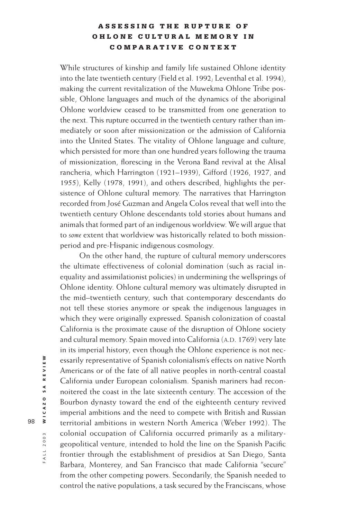# **ASSESSING THE RUPTURE OF OHLONE CULTURAL MEMORY IN COMPARATIVE CONTEXT**

While structures of kinship and family life sustained Ohlone identity into the late twentieth century (Field et al. 1992; Leventhal et al. 1994), making the current revitalization of the Muwekma Ohlone Tribe possible, Ohlone languages and much of the dynamics of the aboriginal Ohlone worldview ceased to be transmitted from one generation to the next. This rupture occurred in the twentieth century rather than immediately or soon after missionization or the admission of California into the United States. The vitality of Ohlone language and culture, which persisted for more than one hundred years following the trauma of missionization, florescing in the Verona Band revival at the Alisal rancheria, which Harrington (1921–1939), Gifford (1926, 1927, and 1955), Kelly (1978, 1991), and others described, highlights the persistence of Ohlone cultural memory. The narratives that Harrington recorded from José Guzman and Angela Colos reveal that well into the twentieth century Ohlone descendants told stories about humans and animals that formed part of an indigenous worldview. We will argue that to *some* extent that worldview was historically related to both missionperiod and pre-Hispanic indigenous cosmology.

On the other hand, the rupture of cultural memory underscores the ultimate effectiveness of colonial domination (such as racial inequality and assimilationist policies) in undermining the wellsprings of Ohlone identity. Ohlone cultural memory was ultimately disrupted in the mid–twentieth century, such that contemporary descendants do not tell these stories anymore or speak the indigenous languages in which they were originally expressed. Spanish colonization of coastal California is the proximate cause of the disruption of Ohlone society and cultural memory. Spain moved into California (A.D. 1769) very late in its imperial history, even though the Ohlone experience is not necessarily representative of Spanish colonialism's effects on native North Americans or of the fate of all native peoples in north-central coastal California under European colonialism. Spanish mariners had reconnoitered the coast in the late sixteenth century. The accession of the Bourbon dynasty toward the end of the eighteenth century revived imperial ambitions and the need to compete with British and Russian territorial ambitions in western North America (Weber 1992). The colonial occupation of California occurred primarily as a militarygeopolitical venture, intended to hold the line on the Spanish Pacific frontier through the establishment of presidios at San Diego, Santa Barbara, Monterey, and San Francisco that made California "secure" from the other competing powers. Secondarily, the Spanish needed to control the native populations, a task secured by the Franciscans, whose

FALL 2003

ALL 2003 **WICAZO SA REVIEW**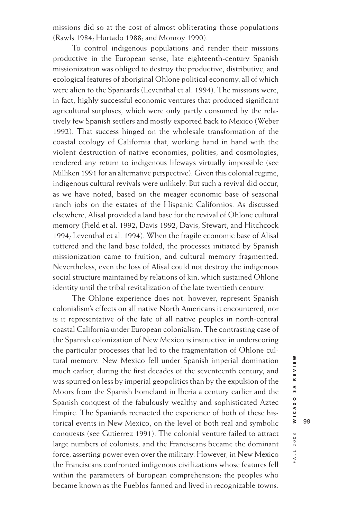missions did so at the cost of almost obliterating those populations (Rawls 1984; Hurtado 1988; and Monroy 1990).

To control indigenous populations and render their missions productive in the European sense, late eighteenth-century Spanish missionization was obliged to destroy the productive, distributive, and ecological features of aboriginal Ohlone political economy, all of which were alien to the Spaniards (Leventhal et al. 1994). The missions were, in fact, highly successful economic ventures that produced significant agricultural surpluses, which were only partly consumed by the relatively few Spanish settlers and mostly exported back to Mexico (Weber 1992). That success hinged on the wholesale transformation of the coastal ecology of California that, working hand in hand with the violent destruction of native economies, polities, and cosmologies, rendered any return to indigenous lifeways virtually impossible (see Milliken 1991 for an alternative perspective). Given this colonial regime, indigenous cultural revivals were unlikely. But such a revival did occur, as we have noted, based on the meager economic base of seasonal ranch jobs on the estates of the Hispanic Californios. As discussed elsewhere, Alisal provided a land base for the revival of Ohlone cultural memory (Field et al. 1992; Davis 1992; Davis, Stewart, and Hitchcock 1994; Leventhal et al. 1994). When the fragile economic base of Alisal tottered and the land base folded, the processes initiated by Spanish missionization came to fruition, and cultural memory fragmented. Nevertheless, even the loss of Alisal could not destroy the indigenous social structure maintained by relations of kin, which sustained Ohlone identity until the tribal revitalization of the late twentieth century.

The Ohlone experience does not, however, represent Spanish colonialism's effects on all native North Americans it encountered, nor is it representative of the fate of all native peoples in north-central coastal California under European colonialism. The contrasting case of the Spanish colonization of New Mexico is instructive in underscoring the particular processes that led to the fragmentation of Ohlone cultural memory. New Mexico fell under Spanish imperial domination much earlier, during the first decades of the seventeenth century, and was spurred on less by imperial geopolitics than by the expulsion of the Moors from the Spanish homeland in Iberia a century earlier and the Spanish conquest of the fabulously wealthy and sophisticated Aztec Empire. The Spaniards reenacted the experience of both of these historical events in New Mexico, on the level of both real and symbolic conquests (see Gutierrez 1991). The colonial venture failed to attract large numbers of colonists, and the Franciscans became the dominant force, asserting power even over the military. However, in New Mexico the Franciscans confronted indigenous civilizations whose features fell within the parameters of European comprehension: the peoples who became known as the Pueblos farmed and lived in recognizable towns.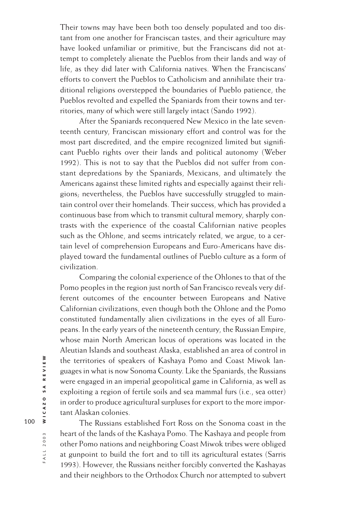Their towns may have been both too densely populated and too distant from one another for Franciscan tastes, and their agriculture may have looked unfamiliar or primitive, but the Franciscans did not attempt to completely alienate the Pueblos from their lands and way of life, as they did later with California natives. When the Franciscans' efforts to convert the Pueblos to Catholicism and annihilate their traditional religions overstepped the boundaries of Pueblo patience, the Pueblos revolted and expelled the Spaniards from their towns and territories, many of which were still largely intact (Sando 1992).

After the Spaniards reconquered New Mexico in the late seventeenth century, Franciscan missionary effort and control was for the most part discredited, and the empire recognized limited but significant Pueblo rights over their lands and political autonomy (Weber 1992). This is not to say that the Pueblos did not suffer from constant depredations by the Spaniards, Mexicans, and ultimately the Americans against these limited rights and especially against their religions; nevertheless, the Pueblos have successfully struggled to maintain control over their homelands. Their success, which has provided a continuous base from which to transmit cultural memory, sharply contrasts with the experience of the coastal Californian native peoples such as the Ohlone, and seems intricately related, we argue, to a certain level of comprehension Europeans and Euro-Americans have displayed toward the fundamental outlines of Pueblo culture as a form of civilization.

Comparing the colonial experience of the Ohlones to that of the Pomo peoples in the region just north of San Francisco reveals very different outcomes of the encounter between Europeans and Native Californian civilizations, even though both the Ohlone and the Pomo constituted fundamentally alien civilizations in the eyes of all Europeans. In the early years of the nineteenth century, the Russian Empire, whose main North American locus of operations was located in the Aleutian Islands and southeast Alaska, established an area of control in the territories of speakers of Kashaya Pomo and Coast Miwok languages in what is now Sonoma County. Like the Spaniards, the Russians were engaged in an imperial geopolitical game in California, as well as exploiting a region of fertile soils and sea mammal furs (i.e., sea otter) in order to produce agricultural surpluses for export to the more important Alaskan colonies.

The Russians established Fort Ross on the Sonoma coast in the heart of the lands of the Kashaya Pomo. The Kashaya and people from other Pomo nations and neighboring Coast Miwok tribes were obliged at gunpoint to build the fort and to till its agricultural estates (Sarris 1993). However, the Russians neither forcibly converted the Kashayas and their neighbors to the Orthodox Church nor attempted to subvert

FALL 2003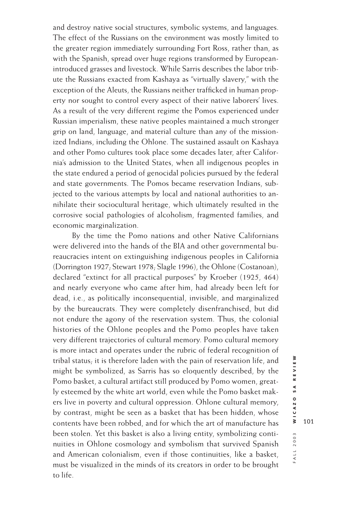and destroy native social structures, symbolic systems, and languages. The effect of the Russians on the environment was mostly limited to the greater region immediately surrounding Fort Ross, rather than, as with the Spanish, spread over huge regions transformed by Europeanintroduced grasses and livestock. While Sarris describes the labor tribute the Russians exacted from Kashaya as "virtually slavery," with the exception of the Aleuts, the Russians neither trafficked in human property nor sought to control every aspect of their native laborers' lives. As a result of the very different regime the Pomos experienced under Russian imperialism, these native peoples maintained a much stronger grip on land, language, and material culture than any of the missionized Indians, including the Ohlone. The sustained assault on Kashaya and other Pomo cultures took place some decades later, after California's admission to the United States, when all indigenous peoples in the state endured a period of genocidal policies pursued by the federal and state governments. The Pomos became reservation Indians, subjected to the various attempts by local and national authorities to annihilate their sociocultural heritage, which ultimately resulted in the corrosive social pathologies of alcoholism, fragmented families, and economic marginalization.

By the time the Pomo nations and other Native Californians were delivered into the hands of the BIA and other governmental bureaucracies intent on extinguishing indigenous peoples in California (Dorrington 1927; Stewart 1978; Slagle 1996), the Ohlone (Costanoan), declared "extinct for all practical purposes" by Kroeber (1925, 464) and nearly everyone who came after him, had already been left for dead, i.e., as politically inconsequential, invisible, and marginalized by the bureaucrats. They were completely disenfranchised, but did not endure the agony of the reservation system. Thus, the colonial histories of the Ohlone peoples and the Pomo peoples have taken very different trajectories of cultural memory. Pomo cultural memory is more intact and operates under the rubric of federal recognition of tribal status; it is therefore laden with the pain of reservation life, and might be symbolized, as Sarris has so eloquently described, by the Pomo basket, a cultural artifact still produced by Pomo women, greatly esteemed by the white art world, even while the Pomo basket makers live in poverty and cultural oppression. Ohlone cultural memory, by contrast, might be seen as a basket that has been hidden, whose contents have been robbed, and for which the art of manufacture has been stolen. Yet this basket is also a living entity, symbolizing continuities in Ohlone cosmology and symbolism that survived Spanish and American colonialism, even if those continuities, like a basket, must be visualized in the minds of its creators in order to be brought to life.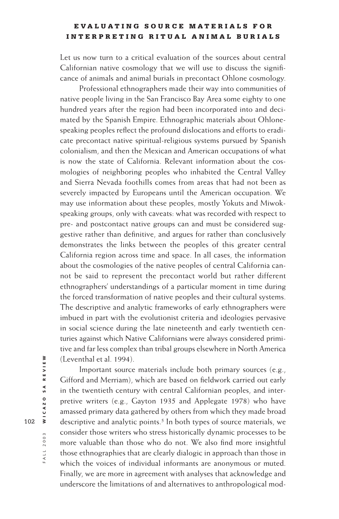# **EVALUATING SOURCE MATERIALS FOR INTERPRETING RITUAL ANIMAL BURIALS**

Let us now turn to a critical evaluation of the sources about central Californian native cosmology that we will use to discuss the significance of animals and animal burials in precontact Ohlone cosmology.

Professional ethnographers made their way into communities of native people living in the San Francisco Bay Area some eighty to one hundred years after the region had been incorporated into and decimated by the Spanish Empire. Ethnographic materials about Ohlonespeaking peoples reflect the profound dislocations and efforts to eradicate precontact native spiritual-religious systems pursued by Spanish colonialism, and then the Mexican and American occupations of what is now the state of California. Relevant information about the cosmologies of neighboring peoples who inhabited the Central Valley and Sierra Nevada foothills comes from areas that had not been as severely impacted by Europeans until the American occupation. We may use information about these peoples, mostly Yokuts and Miwokspeaking groups, only with caveats: what was recorded with respect to pre- and postcontact native groups can and must be considered suggestive rather than definitive, and argues for rather than conclusively demonstrates the links between the peoples of this greater central California region across time and space. In all cases, the information about the cosmologies of the native peoples of central California cannot be said to represent the precontact world but rather different ethnographers' understandings of a particular moment in time during the forced transformation of native peoples and their cultural systems. The descriptive and analytic frameworks of early ethnographers were imbued in part with the evolutionist criteria and ideologies pervasive in social science during the late nineteenth and early twentieth centuries against which Native Californians were always considered primitive and far less complex than tribal groups elsewhere in North America (Leventhal et al. 1994).

WICAZO SA REVIEW ALL 2003 **WICAZO SA REVIEW**FALL 2003

102

Important source materials include both primary sources (e.g., Gifford and Merriam), which are based on fieldwork carried out early in the twentieth century with central Californian peoples, and interpretive writers (e.g., Gayton 1935 and Applegate 1978) who have amassed primary data gathered by others from which they made broad descriptive and analytic points.<sup>5</sup> In both types of source materials, we consider those writers who stress historically dynamic processes to be more valuable than those who do not. We also find more insightful those ethnographies that are clearly dialogic in approach than those in which the voices of individual informants are anonymous or muted. Finally, we are more in agreement with analyses that acknowledge and underscore the limitations of and alternatives to anthropological mod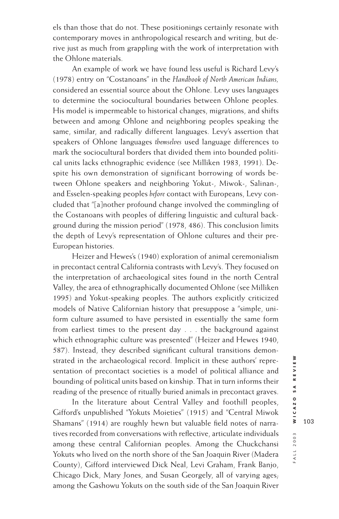els than those that do not. These positionings certainly resonate with contemporary moves in anthropological research and writing, but derive just as much from grappling with the work of interpretation with the Ohlone materials.

An example of work we have found less useful is Richard Levy's (1978) entry on "Costanoans" in the *Handbook of North American Indians,* considered an essential source about the Ohlone. Levy uses languages to determine the sociocultural boundaries between Ohlone peoples. His model is impermeable to historical changes, migrations, and shifts between and among Ohlone and neighboring peoples speaking the same, similar, and radically different languages. Levy's assertion that speakers of Ohlone languages *themselves* used language differences to mark the sociocultural borders that divided them into bounded political units lacks ethnographic evidence (see Milliken 1983, 1991). Despite his own demonstration of significant borrowing of words between Ohlone speakers and neighboring Yokut-, Miwok-, Salinan-, and Esselen-speaking peoples *before* contact with Europeans, Levy concluded that "[a]nother profound change involved the commingling of the Costanoans with peoples of differing linguistic and cultural background during the mission period" (1978, 486). This conclusion limits the depth of Levy's representation of Ohlone cultures and their pre-European histories.

Heizer and Hewes's (1940) exploration of animal ceremonialism in precontact central California contrasts with Levy's. They focused on the interpretation of archaeological sites found in the north Central Valley, the area of ethnographically documented Ohlone (see Milliken 1995) and Yokut-speaking peoples. The authors explicitly criticized models of Native Californian history that presuppose a "simple, uniform culture assumed to have persisted in essentially the same form from earliest times to the present day . . . the background against which ethnographic culture was presented" (Heizer and Hewes 1940, 587). Instead, they described significant cultural transitions demonstrated in the archaeological record. Implicit in these authors' representation of precontact societies is a model of political alliance and bounding of political units based on kinship. That in turn informs their reading of the presence of ritually buried animals in precontact graves.

In the literature about Central Valley and foothill peoples, Gifford's unpublished "Yokuts Moieties" (1915) and "Central Miwok Shamans" (1914) are roughly hewn but valuable field notes of narratives recorded from conversations with reflective, articulate individuals among these central Californian peoples. Among the Chuckchansi Yokuts who lived on the north shore of the San Joaquin River (Madera County), Gifford interviewed Dick Neal, Levi Graham, Frank Banjo, Chicago Dick, Mary Jones, and Susan Georgely, all of varying ages; among the Gashowu Yokuts on the south side of the San Joaquin River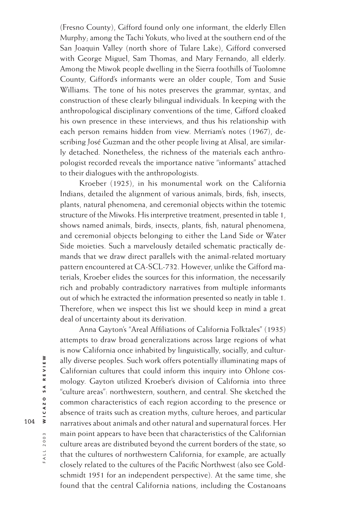(Fresno County), Gifford found only one informant, the elderly Ellen Murphy; among the Tachi Yokuts, who lived at the southern end of the San Joaquin Valley (north shore of Tulare Lake), Gifford conversed with George Miguel, Sam Thomas, and Mary Fernando, all elderly. Among the Miwok people dwelling in the Sierra foothills of Tuolomne County, Gifford's informants were an older couple, Tom and Susie Williams. The tone of his notes preserves the grammar, syntax, and construction of these clearly bilingual individuals. In keeping with the anthropological disciplinary conventions of the time, Gifford cloaked his own presence in these interviews, and thus his relationship with each person remains hidden from view. Merriam's notes (1967), describing José Guzman and the other people living at Alisal, are similarly detached. Nonetheless, the richness of the materials each anthropologist recorded reveals the importance native "informants" attached to their dialogues with the anthropologists.

Kroeber (1925), in his monumental work on the California Indians, detailed the alignment of various animals, birds, fish, insects, plants, natural phenomena, and ceremonial objects within the totemic structure of the Miwoks. His interpretive treatment, presented in table 1, shows named animals, birds, insects, plants, fish, natural phenomena, and ceremonial objects belonging to either the Land Side or Water Side moieties. Such a marvelously detailed schematic practically demands that we draw direct parallels with the animal-related mortuary pattern encountered at CA-SCL-732. However, unlike the Gifford materials, Kroeber elides the sources for this information, the necessarily rich and probably contradictory narratives from multiple informants out of which he extracted the information presented so neatly in table 1. Therefore, when we inspect this list we should keep in mind a great deal of uncertainty about its derivation.

Anna Gayton's "Areal Affiliations of California Folktales" (1935) attempts to draw broad generalizations across large regions of what is now California once inhabited by linguistically, socially, and culturally diverse peoples. Such work offers potentially illuminating maps of Californian cultures that could inform this inquiry into Ohlone cosmology. Gayton utilized Kroeber's division of California into three "culture areas": northwestern, southern, and central. She sketched the common characteristics of each region according to the presence or absence of traits such as creation myths, culture heroes, and particular narratives about animals and other natural and supernatural forces. Her main point appears to have been that characteristics of the Californian culture areas are distributed beyond the current borders of the state, so that the cultures of northwestern California, for example, are actually closely related to the cultures of the Pacific Northwest (also see Goldschmidt 1951 for an independent perspective). At the same time, she found that the central California nations, including the Costanoans

FALL 2003

ALL 2003 **WICAZO SA REVIEW**

WICAZO SA REVIEW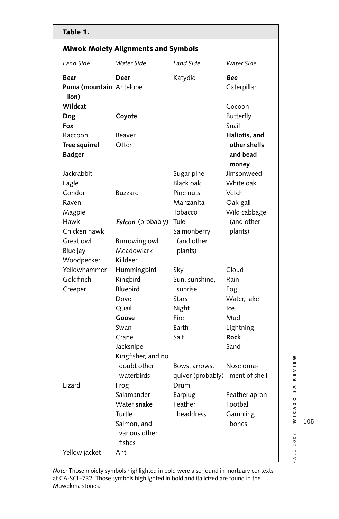| Table 1.                                        |                                        |                      |                                   |
|-------------------------------------------------|----------------------------------------|----------------------|-----------------------------------|
| <b>Miwok Moiety Alignments and Symbols</b>      |                                        |                      |                                   |
| Land Side                                       | Water Side                             | Land Side            | Water Side                        |
| Bear<br><b>Puma (mountain</b> Antelope<br>lion) | Deer                                   | Katydid              | Bee<br>Caterpillar                |
| Wildcat                                         |                                        |                      | Cocoon                            |
| Dog<br>Fox                                      | Coyote                                 |                      | Butterfly<br>Snail                |
| Raccoon                                         | Beaver                                 |                      | Haliotis, and                     |
| <b>Tree squirrel</b><br><b>Badger</b>           | Otter                                  |                      | other shells<br>and bead<br>money |
| Jackrabbit                                      |                                        | Sugar pine           | Jimsonweed                        |
| Eagle                                           |                                        | <b>Black oak</b>     | White oak                         |
| Condor                                          | Buzzard                                | Pine nuts            | Vetch                             |
| Raven<br>Magpie                                 |                                        | Manzanita<br>Tobacco | Oak gall<br>Wild cabbage          |
| Hawk                                            | <b>Falcon</b> (probably)               | Tule                 | (and other                        |
| Chicken hawk                                    |                                        | Salmonberry          | plants)                           |
| Great owl                                       | Burrowing owl                          | (and other           |                                   |
| Blue jay                                        | Meadowlark                             | plants)              |                                   |
| Woodpecker                                      | Killdeer                               |                      |                                   |
| Yellowhammer                                    | Hummingbird                            | Sky                  | Cloud                             |
| Goldfinch                                       | Kingbird                               | Sun, sunshine,       | Rain                              |
| Creeper                                         | <b>Bluebird</b>                        | sunrise              | Fog                               |
|                                                 | Dove                                   | Stars                | Water, lake                       |
|                                                 | Quail                                  | Night                | lce                               |
|                                                 | Goose                                  | Fire                 | Mud                               |
|                                                 | Swan                                   | Earth                | Lightning                         |
|                                                 | Crane                                  | Salt                 | <b>Rock</b>                       |
|                                                 | Jacksnipe<br>Kingfisher, and no        |                      | Sand                              |
|                                                 | doubt other                            | Bows, arrows,        | Nose orna-                        |
|                                                 | waterbirds                             | quiver (probably)    | ment of shell                     |
| Lizard                                          | Frog                                   | Drum                 |                                   |
|                                                 | Salamander                             | Earplug              | Feather apron                     |
|                                                 | Water snake                            | Feather              | Football                          |
|                                                 | Turtle                                 | headdress            | Gambling                          |
|                                                 | Salmon, and<br>various other<br>fishes |                      | bones                             |
| Yellow jacket                                   | Ant                                    |                      |                                   |

*Note:* Those moiety symbols highlighted in bold were also found in mortuary contexts at CA-SCL-732. Those symbols highlighted in bold and italicized are found in the Muwekma stories.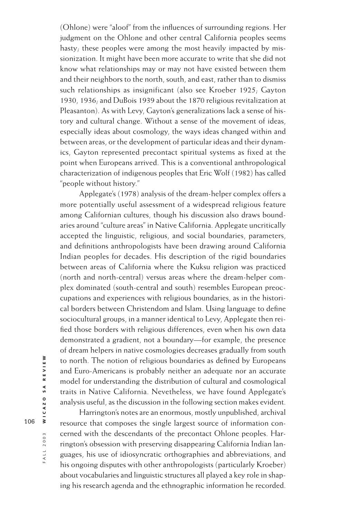(Ohlone) were "aloof" from the influences of surrounding regions. Her judgment on the Ohlone and other central California peoples seems hasty; these peoples were among the most heavily impacted by missionization. It might have been more accurate to write that she did not know what relationships may or may not have existed between them and their neighbors to the north, south, and east, rather than to dismiss such relationships as insignificant (also see Kroeber 1925; Gayton 1930, 1936; and DuBois 1939 about the 1870 religious revitalization at Pleasanton). As with Levy, Gayton's generalizations lack a sense of history and cultural change. Without a sense of the movement of ideas, especially ideas about cosmology, the ways ideas changed within and between areas, or the development of particular ideas and their dynamics, Gayton represented precontact spiritual systems as fixed at the point when Europeans arrived. This is a conventional anthropological characterization of indigenous peoples that Eric Wolf (1982) has called "people without history."

Applegate's (1978) analysis of the dream-helper complex offers a more potentially useful assessment of a widespread religious feature among Californian cultures, though his discussion also draws boundaries around "culture areas" in Native California. Applegate uncritically accepted the linguistic, religious, and social boundaries, parameters, and definitions anthropologists have been drawing around California Indian peoples for decades. His description of the rigid boundaries between areas of California where the Kuksu religion was practiced (north and north-central) versus areas where the dream-helper complex dominated (south-central and south) resembles European preoccupations and experiences with religious boundaries, as in the historical borders between Christendom and Islam. Using language to define sociocultural groups, in a manner identical to Levy, Applegate then reified those borders with religious differences, even when his own data demonstrated a gradient, not a boundary—for example, the presence of dream helpers in native cosmologies decreases gradually from south to north. The notion of religious boundaries as defined by Europeans and Euro-Americans is probably neither an adequate nor an accurate model for understanding the distribution of cultural and cosmological traits in Native California. Nevetheless, we have found Applegate's analysis useful, as the discussion in the following section makes evident.

Harrington's notes are an enormous, mostly unpublished, archival resource that composes the single largest source of information concerned with the descendants of the precontact Ohlone peoples. Harrington's obsession with preserving disappearing California Indian languages, his use of idiosyncratic orthographies and abbreviations, and his ongoing disputes with other anthropologists (particularly Kroeber) about vocabularies and linguistic structures all played a key role in shaping his research agenda and the ethnographic information he recorded.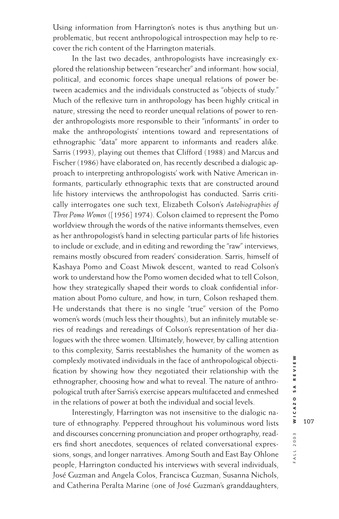Using information from Harrington's notes is thus anything but unproblematic, but recent anthropological introspection may help to recover the rich content of the Harrington materials.

In the last two decades, anthropologists have increasingly explored the relationship between "researcher" and informant: how social, political, and economic forces shape unequal relations of power between academics and the individuals constructed as "objects of study." Much of the reflexive turn in anthropology has been highly critical in nature, stressing the need to reorder unequal relations of power to render anthropologists more responsible to their "informants" in order to make the anthropologists' intentions toward and representations of ethnographic "data" more apparent to informants and readers alike. Sarris (1993), playing out themes that Clifford (1988) and Marcus and Fischer (1986) have elaborated on, has recently described a dialogic approach to interpreting anthropologists' work with Native American informants, particularly ethnographic texts that are constructed around life history interviews the anthropologist has conducted. Sarris critically interrogates one such text, Elizabeth Colson's *Autobiographies of Three Pomo Women* ([1956] 1974). Colson claimed to represent the Pomo worldview through the words of the native informants themselves, even as her anthropologist's hand in selecting particular parts of life histories to include or exclude, and in editing and rewording the "raw" interviews, remains mostly obscured from readers' consideration. Sarris, himself of Kashaya Pomo and Coast Miwok descent, wanted to read Colson's work to understand how the Pomo women decided what to tell Colson, how they strategically shaped their words to cloak confidential information about Pomo culture, and how, in turn, Colson reshaped them. He understands that there is no single "true" version of the Pomo women's words (much less their thoughts), but an infinitely mutable series of readings and rereadings of Colson's representation of her dialogues with the three women. Ultimately, however, by calling attention to this complexity, Sarris reestablishes the humanity of the women as complexly motivated individuals in the face of anthropological objectification by showing how they negotiated their relationship with the ethnographer, choosing how and what to reveal. The nature of anthropological truth after Sarris's exercise appears multifaceted and enmeshed in the relations of power at both the individual and social levels.

Interestingly, Harrington was not insensitive to the dialogic nature of ethnography. Peppered throughout his voluminous word lists and discourses concerning pronunciation and proper orthography, readers find short anecdotes, sequences of related conversational expressions, songs, and longer narratives. Among South and East Bay Ohlone people, Harrington conducted his interviews with several individuals, José Guzman and Angela Colos, Francisca Guzman, Susanna Nichols, and Catherina Peralta Marine (one of José Guzman's granddaughters,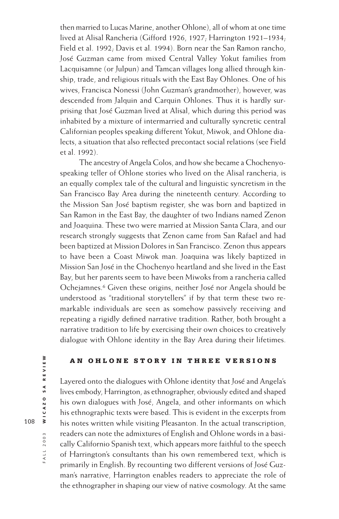then married to Lucas Marine, another Ohlone), all of whom at one time lived at Alisal Rancheria (Gifford 1926, 1927; Harrington 1921–1934; Field et al. 1992; Davis et al. 1994). Born near the San Ramon rancho, José Guzman came from mixed Central Valley Yokut families from Lacquisamne (or Julpun) and Tamcan villages long allied through kinship, trade, and religious rituals with the East Bay Ohlones. One of his wives, Francisca Nonessi (John Guzman's grandmother), however, was descended from Jalquin and Carquin Ohlones. Thus it is hardly surprising that José Guzman lived at Alisal, which during this period was inhabited by a mixture of intermarried and culturally syncretic central Californian peoples speaking different Yokut, Miwok, and Ohlone dialects, a situation that also reflected precontact social relations (see Field et al. 1992).

The ancestry of Angela Colos, and how she became a Chochenyospeaking teller of Ohlone stories who lived on the Alisal rancheria, is an equally complex tale of the cultural and linguistic syncretism in the San Francisco Bay Area during the nineteenth century. According to the Mission San José baptism register, she was born and baptized in San Ramon in the East Bay, the daughter of two Indians named Zenon and Joaquina. These two were married at Mission Santa Clara, and our research strongly suggests that Zenon came from San Rafael and had been baptized at Mission Dolores in San Francisco. Zenon thus appears to have been a Coast Miwok man. Joaquina was likely baptized in Mission San José in the Chochenyo heartland and she lived in the East Bay, but her parents seem to have been Miwoks from a rancheria called Ochejamnes.6 Given these origins, neither José nor Angela should be understood as "traditional storytellers" if by that term these two remarkable individuals are seen as somehow passively receiving and repeating a rigidly defined narrative tradition. Rather, both brought a narrative tradition to life by exercising their own choices to creatively dialogue with Ohlone identity in the Bay Area during their lifetimes.

# **AN OHLONE STORY IN THREE VERSIONS**

Layered onto the dialogues with Ohlone identity that José and Angela's lives embody, Harrington, as ethnographer, obviously edited and shaped his own dialogues with José, Angela, and other informants on which his ethnographic texts were based. This is evident in the excerpts from his notes written while visiting Pleasanton. In the actual transcription, readers can note the admixtures of English and Ohlone words in a basically Californio Spanish text, which appears more faithful to the speech of Harrington's consultants than his own remembered text, which is primarily in English. By recounting two different versions of José Guzman's narrative, Harrington enables readers to appreciate the role of the ethnographer in shaping our view of native cosmology. At the same

FALL 2003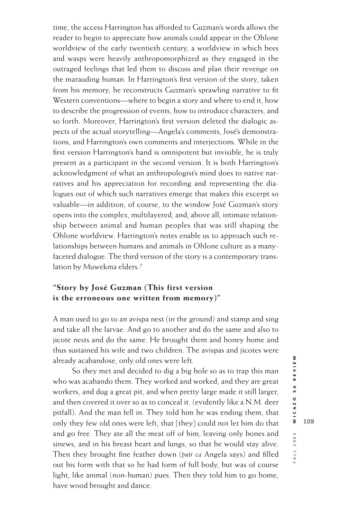time, the access Harrington has afforded to Guzman's words allows the reader to begin to appreciate how animals could appear in the Ohlone worldview of the early twentieth century, a worldview in which bees and wasps were heavily anthropomorphized as they engaged in the outraged feelings that led them to discuss and plan their revenge on the marauding human. In Harrington's first version of the story, taken from his memory, he reconstructs Guzman's sprawling narrative to fit Western conventions—where to begin a story and where to end it, how to describe the progression of events, how to introduce characters, and so forth. Moreover, Harrington's first version deleted the dialogic aspects of the actual storytelling—Angela's comments, José's demonstrations, and Harrington's own comments and interjections. While in the first version Harrington's hand is omnipotent but invisible, he is truly present as a participant in the second version. It is both Harrington's acknowledgment of what an anthropologist's mind does to native narratives and his appreciation for recording and representing the dialogues out of which such narratives emerge that makes this excerpt so valuable—in addition, of course, to the window José Guzman's story opens into the complex, multilayered, and, above all, intimate relationship between animal and human peoples that was still shaping the Ohlone worldview. Harrington's notes enable us to approach such relationships between humans and animals in Ohlone culture as a manyfaceted dialogue. The third version of the story is a contemporary translation by Muwekma elders.<sup>7</sup>

# **"Story by José Guzman (This first version is the erroneous one written from memory)"**

A man used to go to an avispa nest (in the ground) and stamp and sing and take all the larvae. And go to another and do the same and also to jicote nests and do the same. He brought them and honey home and thus sustained his wife and two children. The avispas and jicotes were already acabandose, only old ones were left.

So they met and decided to dig a big hole so as to trap this man who was acabando them. They worked and worked, and they are great workers, and dug a great pit, and when pretty large made it still larger, and then covered it over so as to conceal it. (evidently like a N.M. deer pitfall). And the man fell in. They told him he was ending them, that only they few old ones were left, that [they] could not let him do that and go free. They ate all the meat off of him, leaving only bones and sinews, and in his breast heart and lungs, so that he would stay alive. Then they brought fine feather down (*putr ca* Angela says) and filled out his form with that so he had form of full body, but was of course light, like animal (non-human) pues. Then they told him to go home, have wood brought and dance.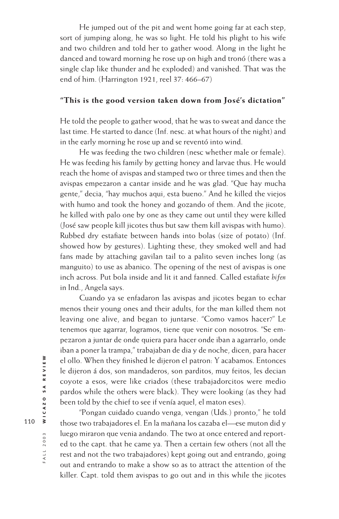He jumped out of the pit and went home going far at each step, sort of jumping along, he was so light. He told his plight to his wife and two children and told her to gather wood. Along in the light he danced and toward morning he rose up on high and tronó (there was a single clap like thunder and he exploded) and vanished. That was the end of him. (Harrington 1921, reel 37: 466–67)

#### **"This is the good version taken down from José's dictation"**

He told the people to gather wood, that he was to sweat and dance the last time. He started to dance (Inf. nesc. at what hours of the night) and in the early morning he rose up and se reventó into wind.

He was feeding the two children (nesc whether male or female). He was feeding his family by getting honey and larvae thus. He would reach the home of avispas and stamped two or three times and then the avispas empezaron a cantar inside and he was glad. "Que hay mucha gente," decia, "hay muchos aqui, esta bueno." And he killed the viejos with humo and took the honey and gozando of them. And the jicote, he killed with palo one by one as they came out until they were killed (José saw people kill jicotes thus but saw them kill avispas with humo). Rubbed dry estafiate between hands into bolas (size of potato) (Inf. showed how by gestures). Lighting these, they smoked well and had fans made by attaching gavilan tail to a palito seven inches long (as manguito) to use as abanico. The opening of the nest of avispas is one inch across. Put bola inside and lit it and fanned. Called estafiate *hiƒen* in Ind., Angela says.

Cuando ya se enfadaron las avispas and jicotes began to echar menos their young ones and their adults, for the man killed them not leaving one alive, and began to juntarse. "Como vamos hacer?" Le tenemos que agarrar, logramos, tiene que venir con nosotros. "Se empezaron a juntar de onde quiera para hacer onde iban a agarrarlo, onde iban a poner la trampa," trabajaban de dia y de noche, dicen, para hacer el ollo. When they finished le dijeron el patron: Y acabamos. Entonces le dijeron á dos, son mandaderos, son parditos, muy feitos, les decian coyote a esos, were like criados (these trabajadorcitos were medio pardos while the others were black). They were looking (as they had been told by the chief to see if venía aquel, el maton eses).

"Pongan cuidado cuando venga, vengan (Uds.) pronto," he told those two trabajadores el. En la mañana los cazaba el—ese muton did y luego miraron que venia andando. The two at once entered and reported to the capt. that he came ya. Then a certain few others (not all the rest and not the two trabajadores) kept going out and entrando, going out and entrando to make a show so as to attract the attention of the killer. Capt. told them avispas to go out and in this while the jicotes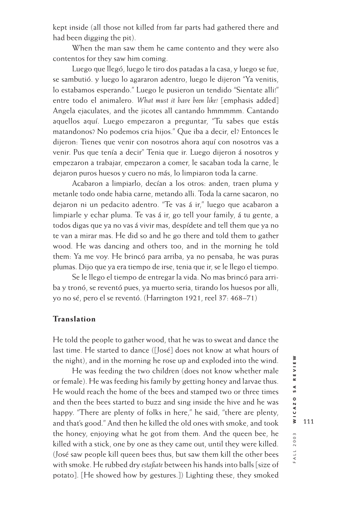kept inside (all those not killed from far parts had gathered there and had been digging the pit).

When the man saw them he came contento and they were also contentos for they saw him coming.

Luego que llegó, luego le tiro dos patadas a la casa, y luego se fue, se sambutió. y luego lo agararon adentro, luego le dijeron "Ya venitis, lo estabamos esperando." Luego le pusieron un tendido "Sientate alli!" entre todo el animalero. *What must it have been like!* [emphasis added] Angela ejaculates, and the jicotes all cantando hmmmmm. Cantando aquellos aquí. Luego empezaron a preguntar, "Tu sabes que estás matandonos? No podemos cria hijos." Que iba a decir, el? Entonces le dijeron: Tienes que venir con nosotros ahora aquí con nosotros vas a venir. Pus que tenía a decir" Tenia que ir. Luego dijeron á nosotros y empezaron a trabajar, empezaron a comer, le sacaban toda la carne, le dejaron puros huesos y cuero no más, lo limpiaron toda la carne.

Acabaron a limpiarlo, decían a los otros: anden, traen pluma y metanle todo onde habia carne, metando alli. Toda la carne sacaron, no dejaron ni un pedacito adentro. "Te vas á ir," luego que acabaron a limpiarle y echar pluma. Te vas á ir, go tell your family, á tu gente, a todos digas que ya no vas á vivir mas, despídete and tell them que ya no te van a mirar mas. He did so and he go there and told them to gather wood. He was dancing and others too, and in the morning he told them: Ya me voy. He brincó para arriba, ya no pensaba, he was puras plumas. Dijo que ya era tiempo de irse, tenia que ir, se le llego el tiempo.

Se le llego el tiempo de entregar la vida. No mas brincó para arriba y tronó, se reventó pues, ya muerto seria, tirando los huesos por alli, yo no sé, pero el se reventó. (Harrington 1921, reel 37: 468–71)

#### **Translation**

He told the people to gather wood, that he was to sweat and dance the last time. He started to dance ([José] does not know at what hours of the night), and in the morning he rose up and exploded into the wind.

He was feeding the two children (does not know whether male or female). He was feeding his family by getting honey and larvae thus. He would reach the home of the bees and stamped two or three times and then the bees started to buzz and sing inside the hive and he was happy. "There are plenty of folks in here," he said, "there are plenty, and that's good." And then he killed the old ones with smoke, and took the honey, enjoying what he got from them. And the queen bee, he killed with a stick, one by one as they came out, until they were killed. (José saw people kill queen bees thus, but saw them kill the other bees with smoke. He rubbed dry *estafiate* between his hands into balls [size of potato]. [He showed how by gestures.]) Lighting these, they smoked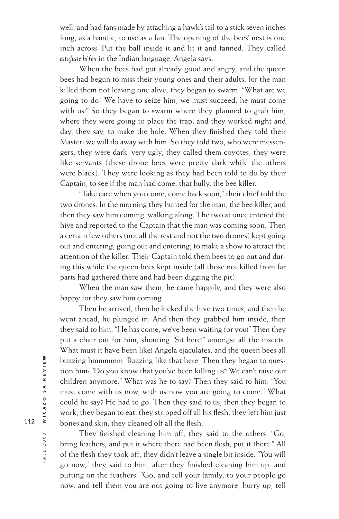well, and had fans made by attaching a hawk's tail to a stick seven inches long, as a handle, to use as a fan. The opening of the bees' nest is one inch across. Put the ball inside it and lit it and fanned. They called *estafiate hiƒen* in the Indian language, Angela says.

When the bees had got already good and angry, and the queen bees had begun to miss their young ones and their adults, for the man killed them not leaving one alive, they began to swarm. "What are we going to do? We have to seize him, we must succeed, he must come with us!" So they began to swarm where they planned to grab him, where they were going to place the trap, and they worked night and day, they say, to make the hole. When they finished they told their Master: we will do away with him. So they told two, who were messengers, they were dark, very ugly, they called them coyotes, they were like servants (these drone bees were pretty dark while the others were black). They were looking as they had been told to do by their Captain, to see if the man had come, that bully, the bee killer.

"Take care when you come, come back soon," their chief told the two drones. In the morning they hunted for the man, the bee killer, and then they saw him coming, walking along. The two at once entered the hive and reported to the Captain that the man was coming soon. Then a certain few others (not all the rest and not the two drones) kept going out and entering, going out and entering, to make a show to attract the attention of the killer. Their Captain told them bees to go out and during this while the queen bees kept inside (all those not killed from far parts had gathered there and had been digging the pit).

When the man saw them, he came happily, and they were also happy for they saw him coming.

Then he arrived, then he kicked the hive two times, and then he went ahead, he plunged in. And then they grabbed him inside, then they said to him, "He has come, we've been waiting for you!" Then they put a chair out for him, shouting "Sit here!" amongst all the insects. What must it have been like! Angela ejaculates, and the queen bees all buzzing hmmmmm. Buzzing like that here. Then they began to question him: "Do you know that you've been killing us? We can't raise our children anymore." What was he to say? Then they said to him: "You must come with us now, with us now you are going to come." What could he say? He had to go. Then they said to us, then they began to work, they began to eat, they stripped off all his flesh, they left him just bones and skin, they cleaned off all the flesh.

They finished cleaning him off, they said to the others: "Go, bring feathers, and put it where there had been flesh; put it there." All of the flesh they took off, they didn't leave a single bit inside. "You will go now," they said to him, after they finished cleaning him up, and putting on the feathers. "Go, and tell your family, to your people go now, and tell them you are not going to live anymore, hurry up, tell

FALL 2003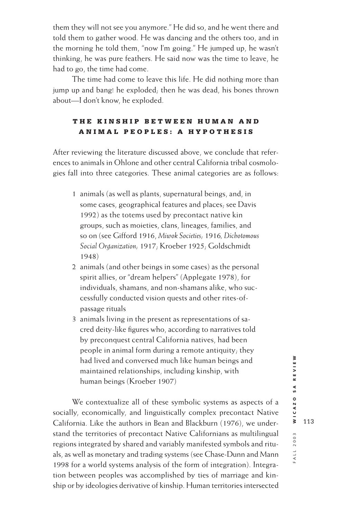them they will not see you anymore." He did so, and he went there and told them to gather wood. He was dancing and the others too, and in the morning he told them, "now I'm going." He jumped up, he wasn't thinking, he was pure feathers. He said now was the time to leave, he had to go, the time had come.

The time had come to leave this life. He did nothing more than jump up and bang! he exploded; then he was dead, his bones thrown about—I don't know, he exploded.

#### **THE KINSHIP BETWEEN HUMAN AND ANIMAL PEOPLES: A HYPOTHESIS**

After reviewing the literature discussed above, we conclude that references to animals in Ohlone and other central California tribal cosmologies fall into three categories. These animal categories are as follows:

- 1 animals (as well as plants, supernatural beings, and, in some cases, geographical features and places; see Davis 1992) as the totems used by precontact native kin groups, such as moieties, clans, lineages, families, and so on (see Gifford 1916, *Miwok Societies;* 1916*, Dichotomous Social Organization;* 1917; Kroeber 1925; Goldschmidt 1948)
- 2 animals (and other beings in some cases) as the personal spirit allies, or "dream helpers" (Applegate 1978), for individuals, shamans, and non-shamans alike, who successfully conducted vision quests and other rites-ofpassage rituals
- 3 animals living in the present as representations of sacred deity-like figures who, according to narratives told by preconquest central California natives, had been people in animal form during a remote antiquity; they had lived and conversed much like human beings and maintained relationships, including kinship, with human beings (Kroeber 1907)

We contextualize all of these symbolic systems as aspects of a socially, economically, and linguistically complex precontact Native California. Like the authors in Bean and Blackburn (1976), we understand the territories of precontact Native Californians as multilingual regions integrated by shared and variably manifested symbols and rituals, as well as monetary and trading systems (see Chase-Dunn and Mann 1998 for a world systems analysis of the form of integration). Integration between peoples was accomplished by ties of marriage and kinship or by ideologies derivative of kinship. Human territories intersected

FO02 114: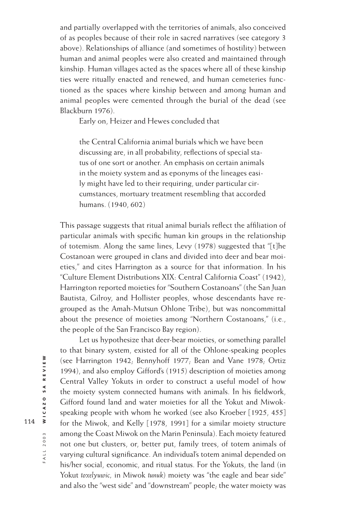and partially overlapped with the territories of animals, also conceived of as peoples because of their role in sacred narratives (see category 3 above). Relationships of alliance (and sometimes of hostility) between human and animal peoples were also created and maintained through kinship. Human villages acted as the spaces where all of these kinship ties were ritually enacted and renewed, and human cemeteries functioned as the spaces where kinship between and among human and animal peoples were cemented through the burial of the dead (see Blackburn 1976).

Early on, Heizer and Hewes concluded that

the Central California animal burials which we have been discussing are, in all probability, reflections of special status of one sort or another. An emphasis on certain animals in the moiety system and as eponyms of the lineages easily might have led to their requiring, under particular circumstances, mortuary treatment resembling that accorded humans. (1940, 602)

This passage suggests that ritual animal burials reflect the affiliation of particular animals with specific human kin groups in the relationship of totemism. Along the same lines, Levy (1978) suggested that "[t]he Costanoan were grouped in clans and divided into deer and bear moieties," and cites Harrington as a source for that information. In his "Culture Element Distributions XIX: Central California Coast" (1942), Harrington reported moieties for "Southern Costanoans" (the San Juan Bautista, Gilroy, and Hollister peoples, whose descendants have regrouped as the Amah-Mutsun Ohlone Tribe), but was noncommittal about the presence of moieties among "Northern Costanoans," (i.e., the people of the San Francisco Bay region).

Let us hypothesize that deer-bear moieties, or something parallel to that binary system, existed for all of the Ohlone-speaking peoples (see Harrington 1942; Bennyhoff 1977; Bean and Vane 1978; Ortiz 1994), and also employ Gifford's (1915) description of moieties among Central Valley Yokuts in order to construct a useful model of how the moiety system connected humans with animals. In his fieldwork, Gifford found land and water moieties for all the Yokut and Miwokspeaking people with whom he worked (see also Kroeber [1925, 455] for the Miwok, and Kelly [1978, 1991] for a similar moiety structure among the Coast Miwok on the Marin Peninsula). Each moiety featured not one but clusters, or, better put, family trees, of totem animals of varying cultural significance. An individual's totem animal depended on his/her social, economic, and ritual status. For the Yokuts, the land (in Yokut *toxelyuwic,* in Miwok *tunuk*) moiety was "the eagle and bear side" and also the "west side" and "downstream" people; the water moiety was

FALL 2003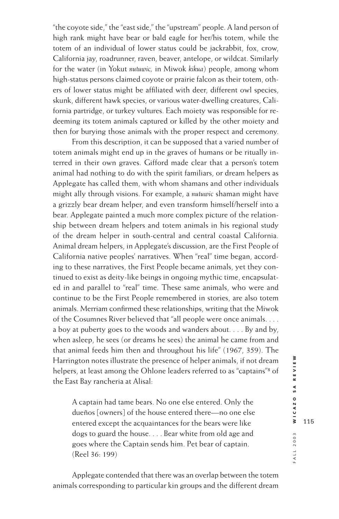"the coyote side," the "east side," the "upstream" people. A land person of high rank might have bear or bald eagle for her/his totem, while the totem of an individual of lower status could be jackrabbit, fox, crow, California jay, roadrunner, raven, beaver, antelope, or wildcat. Similarly for the water (in Yokut *nutuwic,* in Miwok *kikua*) people, among whom high-status persons claimed coyote or prairie falcon as their totem, others of lower status might be affiliated with deer, different owl species, skunk, different hawk species, or various water-dwelling creatures, California partridge, or turkey vultures. Each moiety was responsible for redeeming its totem animals captured or killed by the other moiety and then for burying those animals with the proper respect and ceremony.

From this description, it can be supposed that a varied number of totem animals might end up in the graves of humans or be ritually interred in their own graves. Gifford made clear that a person's totem animal had nothing to do with the spirit familiars, or dream helpers as Applegate has called them, with whom shamans and other individuals might ally through visions. For example, a *nutuwic* shaman might have a grizzly bear dream helper, and even transform himself/herself into a bear. Applegate painted a much more complex picture of the relationship between dream helpers and totem animals in his regional study of the dream helper in south-central and central coastal California. Animal dream helpers, in Applegate's discussion, are the First People of California native peoples' narratives. When "real" time began, according to these narratives, the First People became animals, yet they continued to exist as deity-like beings in ongoing mythic time, encapsulated in and parallel to "real" time. These same animals, who were and continue to be the First People remembered in stories, are also totem animals. Merriam confirmed these relationships, writing that the Miwok of the Cosumnes River believed that "all people were once animals.... a boy at puberty goes to the woods and wanders about. . . . By and by, when asleep, he sees (or dreams he sees) the animal he came from and that animal feeds him then and throughout his life" (1967, 359). The Harrington notes illustrate the presence of helper animals, if not dream helpers, at least among the Ohlone leaders referred to as "captains"<sup>8</sup> of the East Bay rancheria at Alisal:

A captain had tame bears. No one else entered. Only the dueños [owners] of the house entered there—no one else entered except the acquaintances for the bears were like dogs to guard the house. . . . Bear white from old age and goes where the Captain sends him. Pet bear of captain. (Reel 36: 199)

Applegate contended that there was an overlap between the totem animals corresponding to particular kin groups and the different dream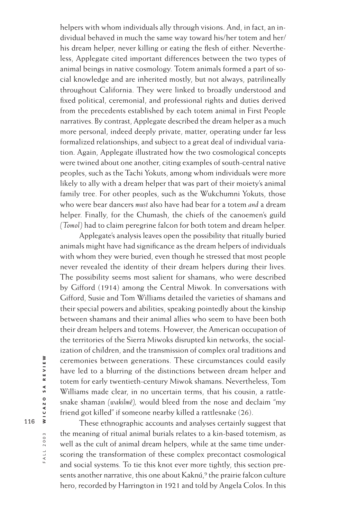helpers with whom individuals ally through visions. And, in fact, an individual behaved in much the same way toward his/her totem and her/ his dream helper, never killing or eating the flesh of either. Nevertheless, Applegate cited important differences between the two types of animal beings in native cosmology. Totem animals formed a part of social knowledge and are inherited mostly, but not always, patrilineally throughout California. They were linked to broadly understood and fixed political, ceremonial, and professional rights and duties derived from the precedents established by each totem animal in First People narratives. By contrast, Applegate described the dream helper as a much more personal, indeed deeply private, matter, operating under far less formalized relationships, and subject to a great deal of individual variation. Again, Applegate illustrated how the two cosmological concepts were twined about one another, citing examples of south-central native peoples, such as the Tachi Yokuts, among whom individuals were more likely to ally with a dream helper that was part of their moiety's animal family tree. For other peoples, such as the Wukchumni Yokuts, those who were bear dancers *must* also have had bear for a totem *and* a dream helper. Finally, for the Chumash, the chiefs of the canoemen's guild *(Tomol)* had to claim peregrine falcon for both totem and dream helper.

Applegate's analysis leaves open the possibility that ritually buried animals might have had significance as the dream helpers of individuals with whom they were buried, even though he stressed that most people never revealed the identity of their dream helpers during their lives. The possibility seems most salient for shamans, who were described by Gifford (1914) among the Central Miwok. In conversations with Gifford, Susie and Tom Williams detailed the varieties of shamans and their special powers and abilities, speaking pointedly about the kinship between shamans and their animal allies who seem to have been both their dream helpers and totems. However, the American occupation of the territories of the Sierra Miwoks disrupted kin networks, the socialization of children, and the transmission of complex oral traditions and ceremonies between generations. These circumstances could easily have led to a blurring of the distinctions between dream helper and totem for early twentieth-century Miwok shamans. Nevertheless, Tom Williams made clear, in no uncertain terms, that his cousin, a rattlesnake shaman *(wakilmê),* would bleed from the nose and declaim "my friend got killed" if someone nearby killed a rattlesnake (26).

These ethnographic accounts and analyses certainly suggest that the meaning of ritual animal burials relates to a kin-based totemism, as well as the cult of animal dream helpers, while at the same time underscoring the transformation of these complex precontact cosmological and social systems. To tie this knot ever more tightly, this section presents another narrative, this one about Kaknú,<sup>9</sup> the prairie falcon culture hero, recorded by Harrington in 1921 and told by Angela Colos. In this

FALL 2003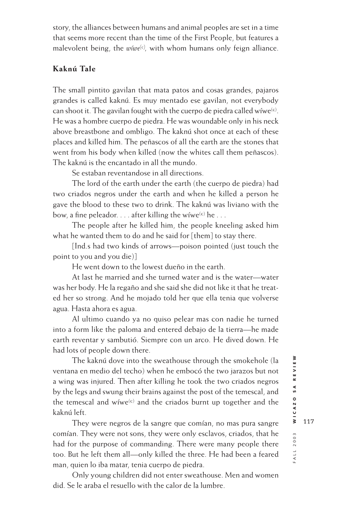story, the alliances between humans and animal peoples are set in a time that seems more recent than the time of the First People, but features a malevolent being, the *wíwe(c),* with whom humans only feign alliance.

#### **Kaknú Tale**

The small pintito gavilan that mata patos and cosas grandes, pajaros grandes is called kaknú. Es muy mentado ese gavilan, not everybody can shoot it. The gavilan fought with the cuerpo de piedra called wíwe $(c)$ . He was a hombre cuerpo de piedra. He was woundable only in his neck above breastbone and ombligo. The kaknú shot once at each of these places and killed him. The peñascos of all the earth are the stones that went from his body when killed (now the whites call them peñascos). The kaknú is the encantado in all the mundo.

Se estaban reventandose in all directions.

The lord of the earth under the earth (the cuerpo de piedra) had two criados negros under the earth and when he killed a person he gave the blood to these two to drink. The kaknú was liviano with the bow, a fine peleador.  $\ldots$  after killing the wíwe<sup>(c)</sup> he  $\ldots$ 

The people after he killed him, the people kneeling asked him what he wanted them to do and he said for [them] to stay there.

[Ind.s had two kinds of arrows—poison pointed (just touch the point to you and you die)]

He went down to the lowest dueño in the earth.

At last he married and she turned water and is the water—water was her body. He la regaño and she said she did not like it that he treated her so strong. And he mojado told her que ella tenia que volverse agua. Hasta ahora es agua.

Al ultimo cuando ya no quiso pelear mas con nadie he turned into a form like the paloma and entered debajo de la tierra—he made earth reventar y sambutió. Siempre con un arco. He dived down. He had lots of people down there.

The kaknú dove into the sweathouse through the smokehole (la ventana en medio del techo) when he embocó the two jarazos but not a wing was injured. Then after killing he took the two criados negros by the legs and swung their brains against the post of the temescal, and the temescal and wíwe $(c)$  and the criados burnt up together and the kaknú left.

They were negros de la sangre que comían, no mas pura sangre comían. They were not sons, they were only esclavos, criados, that he had for the purpose of commanding. There were many people there too. But he left them all—only killed the three. He had been a feared man, quien lo iba matar, tenia cuerpo de piedra.

Only young children did not enter sweathouse. Men and women did. Se le araba el resuello with the calor de la lumbre.

LL.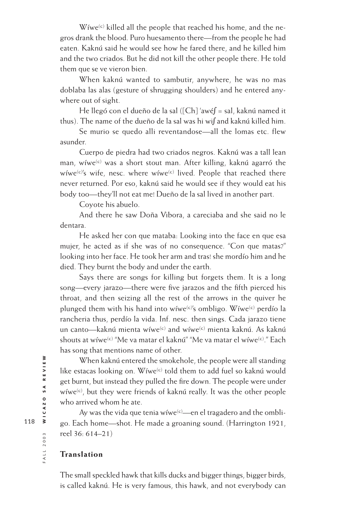$W$ íwe<sup>(c)</sup> killed all the people that reached his home, and the negros drank the blood. Puro huesamento there—from the people he had eaten. Kaknú said he would see how he fared there, and he killed him and the two criados. But he did not kill the other people there. He told them que se ve vieron bien.

When kaknú wanted to sambutir, anywhere, he was no mas doblaba las alas (gesture of shrugging shoulders) and he entered anywhere out of sight.

He llegó con el dueño de la sal ([Ch] 'awé∫ = sal, kaknú named it thus). The name of the dueño de la sal was hi wi∫ and kaknú killed him.

Se murio se quedo alli reventandose—all the lomas etc. flew asunder.

Cuerpo de piedra had two criados negros. Kaknú was a tall lean man, wíwe<sup>(c)</sup> was a short stout man. After killing, kaknú agarró the wíwe<sup>(c)'</sup>s wife, nesc. where wíwe<sup>(c)</sup> lived. People that reached there never returned. Por eso, kaknú said he would see if they would eat his body too—they'll not eat me! Dueño de la sal lived in another part.

Coyote his abuelo.

And there he saw Doña Vibora, a careciaba and she said no le dentara.

He asked her con que mataba: Looking into the face en que esa mujer, he acted as if she was of no consequence. "Con que matas?" looking into her face. He took her arm and tras! she mordío him and he died. They burnt the body and under the earth.

Says there are songs for killing but forgets them. It is a long song—every jarazo—there were five jarazos and the fifth pierced his throat, and then seizing all the rest of the arrows in the quiver he plunged them with his hand into wíwe<sup>(c)'</sup>s ombligo. Wíwe<sup>(c)</sup> perdío la rancheria thus, perdío la vida. Inf. nesc. then sings. Cada jarazo tiene un canto—kaknú mienta wíwe<sup>(c)</sup> and wíwe<sup>(c)</sup> mienta kaknú. As kaknú shouts at wíwe<sup>(c)</sup> "Me va matar el kaknú" "Me va matar el wíwe<sup>(c)</sup>." Each has song that mentions name of other.

When kaknú entered the smokehole, the people were all standing like estacas looking on. Wíwe<sup>(c)</sup> told them to add fuel so kaknú would get burnt, but instead they pulled the fire down. The people were under  $w$ íwe<sup>(c)</sup>, but they were friends of kaknú really. It was the other people who arrived whom he ate.

Ay was the vida que tenia wíwe $(c)$ —en el tragadero and the ombligo. Each home—shot. He made a groaning sound. (Harrington 1921, reel 36: 614–21)

#### **Translation**

The small speckled hawk that kills ducks and bigger things, bigger birds, is called kaknú. He is very famous, this hawk, and not everybody can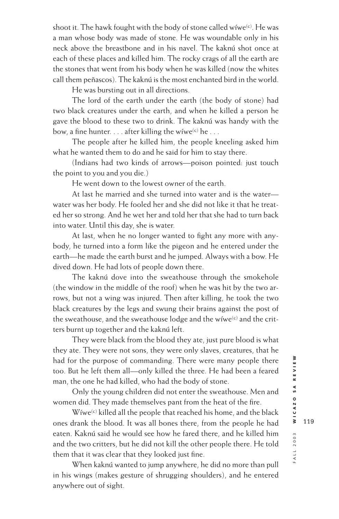shoot it. The hawk fought with the body of stone called wiwe<sup>(c)</sup>. He was a man whose body was made of stone. He was woundable only in his neck above the breastbone and in his navel. The kaknú shot once at each of these places and killed him. The rocky crags of all the earth are the stones that went from his body when he was killed (now the whites call them peñascos). The kaknú is the most enchanted bird in the world.

He was bursting out in all directions.

The lord of the earth under the earth (the body of stone) had two black creatures under the earth, and when he killed a person he gave the blood to these two to drink. The kaknú was handy with the bow, a fine hunter.  $\ldots$  after killing the wíwe<sup>(c)</sup> he  $\ldots$ 

The people after he killed him, the people kneeling asked him what he wanted them to do and he said for him to stay there.

(Indians had two kinds of arrows—poison pointed: just touch the point to you and you die.)

He went down to the lowest owner of the earth.

At last he married and she turned into water and is the water water was her body. He fooled her and she did not like it that he treated her so strong. And he wet her and told her that she had to turn back into water. Until this day, she is water.

At last, when he no longer wanted to fight any more with anybody, he turned into a form like the pigeon and he entered under the earth—he made the earth burst and he jumped. Always with a bow. He dived down. He had lots of people down there.

The kaknú dove into the sweathouse through the smokehole (the window in the middle of the roof) when he was hit by the two arrows, but not a wing was injured. Then after killing, he took the two black creatures by the legs and swung their brains against the post of the sweathouse, and the sweathouse lodge and the wíwe $(c)$  and the critters burnt up together and the kaknú left.

They were black from the blood they ate, just pure blood is what they ate. They were not sons, they were only slaves, creatures, that he had for the purpose of commanding. There were many people there too. But he left them all—only killed the three. He had been a feared man, the one he had killed, who had the body of stone.

Only the young children did not enter the sweathouse. Men and women did. They made themselves pant from the heat of the fire.

Wíwe<sup>(c)</sup> killed all the people that reached his home, and the black ones drank the blood. It was all bones there, from the people he had eaten. Kaknú said he would see how he fared there, and he killed him and the two critters, but he did not kill the other people there. He told them that it was clear that they looked just fine.

When kaknú wanted to jump anywhere, he did no more than pull in his wings (makes gesture of shrugging shoulders), and he entered anywhere out of sight.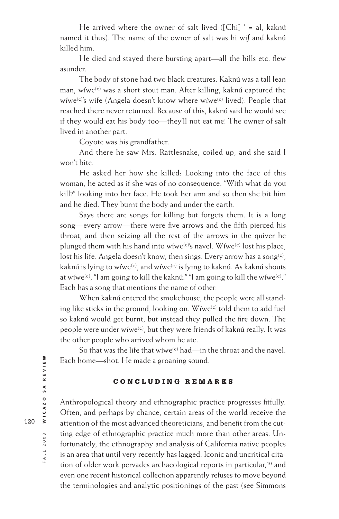He arrived where the owner of salt lived ( $[Chi]' = al$ , kaknú named it thus). The name of the owner of salt was hi wi∫ and kaknú killed him.

He died and stayed there bursting apart—all the hills etc. flew asunder.

The body of stone had two black creatures. Kaknú was a tall lean man, wíwe<sup>(c)</sup> was a short stout man. After killing, kaknú captured the wíwe<sup>(c)'</sup>s wife (Angela doesn't know where wíwe<sup>(c)</sup> lived). People that reached there never returned. Because of this, kaknú said he would see if they would eat his body too—they'll not eat me! The owner of salt lived in another part.

Coyote was his grandfather.

And there he saw Mrs. Rattlesnake, coiled up, and she said I won't bite.

He asked her how she killed: Looking into the face of this woman, he acted as if she was of no consequence. "With what do you kill?" looking into her face. He took her arm and so then she bit him and he died. They burnt the body and under the earth.

Says there are songs for killing but forgets them. It is a long song—every arrow—there were five arrows and the fifth pierced his throat, and then seizing all the rest of the arrows in the quiver he plunged them with his hand into wíwe<sup>(c)'</sup>s navel. Wíwe<sup>(c)</sup> lost his place, lost his life. Angela doesn't know, then sings. Every arrow has a song<sup>(c)</sup>, kaknú is lying to wíwe<sup>(c)</sup>, and wíwe<sup>(c)</sup> is lying to kaknú. As kaknú shouts at wíwe<sup>(c)</sup>, "I am going to kill the kaknú." "I am going to kill the wíwe<sup>(c)</sup>." Each has a song that mentions the name of other.

When kaknú entered the smokehouse, the people were all standing like sticks in the ground, looking on. Wíwe<sup>(c)</sup> told them to add fuel so kaknú would get burnt, but instead they pulled the fire down. The people were under wíwe<sup>(c)</sup>, but they were friends of kaknú really. It was the other people who arrived whom he ate.

So that was the life that wíwe $(c)$  had—in the throat and the navel. Each home—shot. He made a groaning sound.

#### **CONCLUDING REMARKS**

Anthropological theory and ethnographic practice progresses fitfully. Often, and perhaps by chance, certain areas of the world receive the attention of the most advanced theoreticians, and benefit from the cutting edge of ethnographic practice much more than other areas. Unfortunately, the ethnography and analysis of California native peoples is an area that until very recently has lagged. Iconic and uncritical citation of older work pervades archaeological reports in particular,10 and even one recent historical collection apparently refuses to move beyond the terminologies and analytic positionings of the past (see Simmons

FALL 2003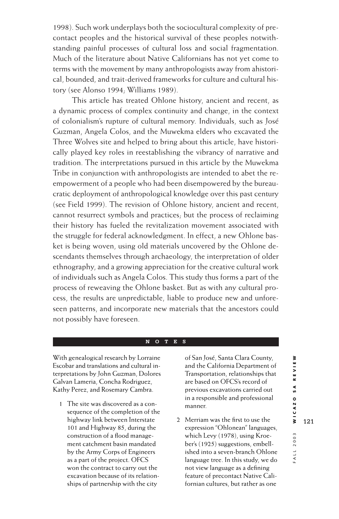1998). Such work underplays both the sociocultural complexity of precontact peoples and the historical survival of these peoples notwithstanding painful processes of cultural loss and social fragmentation. Much of the literature about Native Californians has not yet come to terms with the movement by many anthropologists away from ahistorical, bounded, and trait-derived frameworks for culture and cultural history (see Alonso 1994; Williams 1989).

This article has treated Ohlone history, ancient and recent, as a dynamic process of complex continuity and change, in the context of colonialism's rupture of cultural memory. Individuals, such as José Guzman, Angela Colos, and the Muwekma elders who excavated the Three Wolves site and helped to bring about this article, have historically played key roles in reestablishing the vibrancy of narrative and tradition. The interpretations pursued in this article by the Muwekma Tribe in conjunction with anthropologists are intended to abet the reempowerment of a people who had been disempowered by the bureaucratic deployment of anthropological knowledge over this past century (see Field 1999). The revision of Ohlone history, ancient and recent, cannot resurrect symbols and practices; but the process of reclaiming their history has fueled the revitalization movement associated with the struggle for federal acknowledgment. In effect, a new Ohlone basket is being woven, using old materials uncovered by the Ohlone descendants themselves through archaeology, the interpretation of older ethnography, and a growing appreciation for the creative cultural work of individuals such as Angela Colos. This study thus forms a part of the process of reweaving the Ohlone basket. But as with any cultural process, the results are unpredictable, liable to produce new and unforeseen patterns, and incorporate new materials that the ancestors could not possibly have foreseen.

#### **NOTES**

With genealogical research by Lorraine Escobar and translations and cultural interpretations by John Guzman, Dolores Galvan Lameria, Concha Rodriguez, Kathy Perez, and Rosemary Cambra.

1 The site was discovered as a consequence of the completion of the highway link between Interstate 101 and Highway 85, during the construction of a flood management catchment basin mandated by the Army Corps of Engineers as a part of the project. OFCS won the contract to carry out the excavation because of its relationships of partnership with the city

of San José, Santa Clara County, and the California Department of Transportation, relationships that are based on OFCS's record of previous excavations carried out in a responsible and professional manner.

2 Merriam was the first to use the expression "Ohlonean" languages, which Levy (1978), using Kroeber's (1925) suggestions, embellished into a seven-branch Ohlone language tree. In this study, we do not view language as a defining feature of precontact Native Californian cultures, but rather as one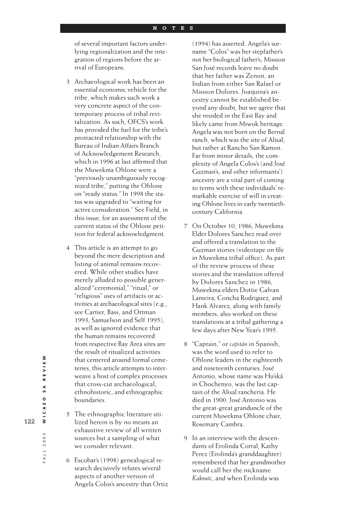of several important factors underlying regionalization and the integration of regions before the arrival of Europeans.

- 3 Archaeological work has been an essential economic vehicle for the tribe, which makes such work a very concrete aspect of the contemporary process of tribal revitalization. As such, OFCS's work has provided the fuel for the tribe's protracted relationship with the Bureau of Indian Affairs Branch of Acknowledgement Research, which in 1996 at last affirmed that the Muwekma Ohlone were a "previously unambiguously recognized tribe," putting the Ohlone on "ready status." In 1998 the status was upgraded to "waiting for active consideration." See Field, in this issue, for an assessment of the current status of the Ohlone petition for federal acknowledgment.
- 4 This article is an attempt to go beyond the mere description and listing of animal remains recovered. While other studies have merely alluded to possible generalized "ceremonial," "ritual," or "religious" uses of artifacts or activities at archaeological sites (e.g., see Cartier, Bass, and Ortman 1993; Samuelson and Self 1995), as well as ignored evidence that the human remains recovered from respective Bay Area sites are the result of ritualized activities that centered around formal cemeteries, this article attempts to interweave a host of complex processes that cross-cut archaeological, ethnohistoric, and ethnographic boundaries.

5 The ethnographic literature utilized herein is by no means an exhaustive review of all written sources but a sampling of what we consider relevant.

6 Escobar's (1998) genealogical research decisively refutes several aspects of another version of Angela Colos's ancestry that Ortiz (1994) has asserted. Angela's surname "Colos" was her stepfather's not her biological father's; Mission San José records leave no doubt that her father was Zenon, an Indian from either San Rafael or Mission Dolores. Joaquina's ancestry cannot be established beyond any doubt, but we agree that she resided in the East Bay and likely came from Miwok heritage. Angela was not born on the Bernal ranch, which was the site of Alisal, but rather at Rancho San Ramon. Far from minor details, the complexity of Angela Colos's (and José Guzman's, and other informants') ancestry are a vital part of coming to terms with these individuals' remarkable exercise of will in creating Ohlone lives in early twentiethcentury California.

- 7 On October 10, 1986, Muwekma Elder Dolores Sanchez read over and offered a translation to the Guzman stories (videotape on file in Muwekma tribal office). As part of the review process of these stories and the translation offered by Dolores Sanchez in 1986, Muwekma elders Dottie Galvan Lameira, Concha Rodriguez, and Hank Alvarez, along with family members, also worked on these translations at a tribal gathering a few days after New Year's 1995.
- 8 "Captain," or *capitán* in Spanish, was the word used to refer to Ohlone leaders in the eighteenth and nineteenth centuries. José Antonio, whose name was Hu'ská in Chochenyo, was the last captain of the Alisal rancheria. He died in 1900. José Antonio was the great-great granduncle of the current Muwekma Ohlone chair, Rosemary Cambra.
- 9 In an interview with the descendants of Erolinda Corral, Kathy Perez (Erolinda's granddaughter) remembered that her grandmother would call her the nickname *Kaknutc,* and when Erolinda was

 ALL 2003 **WICAZO SA REVIEW** S A NICAZO 122 FALL 2003

REVIEW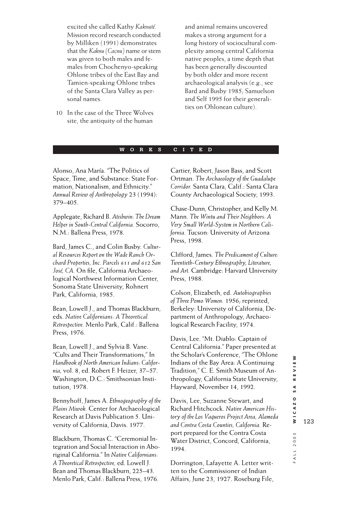excited she called Kathy *Kaknuté.* Mission record research conducted by Milliken (1991) demonstrates that the *Kaknu (Cacnu)* name or stem was given to both males and females from Chochenyo-speaking Ohlone tribes of the East Bay and Tamien-speaking Ohlone tribes of the Santa Clara Valley as personal names.

10 In the case of the Three Wolves site, the antiquity of the human

and animal remains uncovered makes a strong argument for a long history of sociocultural complexity among central California native peoples, a time depth that has been generally discounted by both older and more recent archaeological analysis (e.g., see Bard and Busby 1985; Samuelson and Self 1995 for their generalities on Ohlonean culture).

#### **WORKS CITED**

Alonso, Ana María. "The Politics of Space, Time, and Substance: State Formation, Nationalism, and Ethnicity." *Annual Review of Anthropology* 23 (1994): 379–405.

Applegate, Richard B. *Atishwin: The Dream Helper in South-Central California.* Socorro, N.M.: Ballena Press, 1978.

Bard, James C., and Colin Busby. *Cultural Resources Report on the Wade Ranch Orchard Properties, Inc. Parcels 611 and 612 San José, CA.* On file, California Archaeological Northwest Information Center, Sonoma State University, Rohnert Park, California, 1985.

Bean, Lowell J., and Thomas Blackburn, eds. *Native Californians: A Theoretical Retrospective.* Menlo Park, Calif.: Ballena Press, 1976.

Bean, Lowell J., and Sylvia B. Vane. "Cults and Their Transformations," In *Handbook of North American Indians: California,* vol. 8, ed. Robert F. Heizer, 37–57. Washington, D.C.: Smithsonian Institution, 1978.

Bennyhoff, James A. *Ethnogeography of the Plains Miwok.* Center for Archaeological Research at Davis Publication 5. University of California, Davis. 1977.

Blackburn, Thomas C. "Ceremonial Integration and Social Interaction in Aboriginal California." In *Native Californians: A Theoretical Retrospective,* ed. Lowell J. Bean and Thomas Blackburn, 225–43. Menlo Park, Calif.: Ballena Press, 1976.

Cartier, Robert, Jason Bass, and Scott Ortman. *The Archaeology of the Guadalupe Corridor.* Santa Clara, Calif.: Santa Clara County Archaeological Society, 1993.

Chase-Dunn, Christopher, and Kelly M. Mann. *The Wintu and Their Neighbors: A Very Small World-System in Northern California.* Tucson: University of Arizona Press, 1998.

Clifford, James. *The Predicament of Culture: Twentieth-Century Ethnography, Literature, and Art.* Cambridge: Harvard University Press, 1988.

Colson, Elizabeth, ed. *Autobiographies of Three Pomo Women.* 1956; reprinted, Berkeley: University of California, Department of Anthropology, Archaeological Research Facility, 1974.

Davis, Lee. "Mt. Diablo: Captain of Central California." Paper presented at the Scholar's Conference, "The Ohlone Indians of the Bay Area: A Continuing Tradition," C. E. Smith Museum of Anthropology, California State University, Hayward, November 14, 1992.

Davis, Lee, Suzanne Stewart, and Richard Hitchcock. *Native American History of the Los Vaqueros Project Area, Alameda and Contra Costa Counties, California.* Report prepared for the Contra Costa Water District, Concord, California, 1994.

Dorrington, Lafayette A. Letter written to the Commissioner of Indian Affairs, June 23, 1927. Roseburg File, F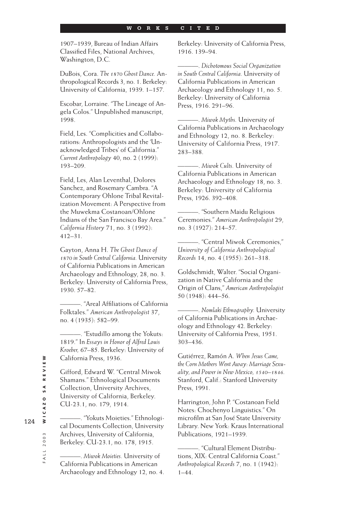1907–1939, Bureau of Indian Affairs Classified Files, National Archives, Washington, D.C.

DuBois, Cora. *The 1870 Ghost Dance.* Anthropological Records 3, no. 1. Berkeley: University of California, 1939. 1–157.

Escobar, Lorraine. "The Lineage of Angela Colos." Unpublished manuscript, 1998.

Field, Les. "Complicities and Collaborations: Anthropologists and the 'Unacknowledged Tribes' of California." *Current Anthropology* 40, no. 2 (1999): 193–209.

Field, Les, Alan Leventhal, Dolores Sanchez, and Rosemary Cambra. "A Contemporary Ohlone Tribal Revitalization Movement: A Perspective from the Muwekma Costanoan/Ohlone Indians of the San Francisco Bay Area." *California History* 71, no. 3 (1992): 412–31.

Gayton, Anna H. *The Ghost Dance of 1870 in South Central California.* University of California Publications in American Archaeology and Ethnology, 28, no. 3. Berkeley: University of California Press, 1930. 57–82.

———. "Areal Affiliations of California Folktales." *American Anthropologist* 37, no. 4 (1935): 582–99.

-. "Estudillo among the Yokuts: 1819." In *Essays in Honor of Alfred Louis Kroeber,* 67–85. Berkeley: University of California Press, 1936.

Gifford, Edward W. "Central Miwok Shamans." Ethnological Documents Collection, University Archives, University of California, Berkeley. CU-23.1, no. 179, 1914.

-. "Yokuts Moieties." Ethnological Documents Collection, University Archives, University of California,

Berkeley. CU-23.1, no. 178, 1915.

———. *Miwok Moieties.* University of California Publications in American Archaeology and Ethnology 12, no. 4. Berkeley: University of California Press, 1916. 139–94.

———. *Dichotomous Social Organization in South Central California.* University of California Publications in American Archaeology and Ethnology 11, no. 5. Berkeley: University of California Press, 1916. 291–96.

———. *Miwok Myths.* University of California Publications in Archaeology and Ethnology 12, no. 8. Berkeley: University of California Press, 1917. 283–388.

———. *Miwok Cults.* University of California Publications in American Archaeology and Ethnology 18, no. 3. Berkeley: University of California Press, 1926. 392–408.

———. "Southern Maidu Religious Ceremonies." *American Anthropologist* 29, no. 3 (1927): 214–57.

———. "Central Miwok Ceremonies," *University of California Anthropological Records* 14, no. 4 (1955): 261–318.

Goldschmidt, Walter. "Social Organization in Native California and the Origin of Clans," *American Anthropologist* 50 (1948): 444–56.

———. *Nomlaki Ethnography.* University of California Publications in Archaeology and Ethnology 42. Berkeley: University of California Press, 1951. 303–436.

Gutiérrez, Ramón A. *When Jesus Came, the Corn Mothers Went Away: Marriage Sexuality, and Power in New Mexico, 1540–1846.* Stanford, Calif.: Stanford University Press, 1991.

Harrington, John P. "Costanoan Field Notes: Chochenyo Linguistics." On microfilm at San José State University Library. New York: Kraus International Publications, 1921–1939.

-. "Cultural Element Distributions, XIX: Central California Coast." *Anthropological Records* 7, no. 1 (1942): 1–44.

FALL 2003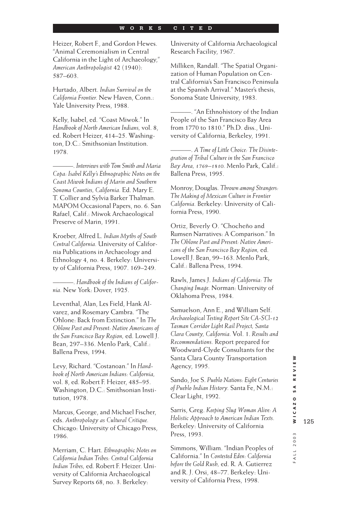Heizer, Robert F., and Gordon Hewes. "Animal Ceremonialism in Central California in the Light of Archaeology," *American Anthropologist* 42 (1940): 587–603.

Hurtado, Albert. *Indian Survival on the California Frontier.* New Haven, Conn.: Yale University Press, 1988.

Kelly, Isabel, ed. "Coast Miwok." In *Handbook of North American Indians,* vol. 8, ed. Robert Heizer, 414–25. Washington, D.C.: Smithsonian Institution. 1978.

———. *Interviews with Tom Smith and Maria Copa: Isabel Kelly's Ethnographic Notes on the Coast Miwok Indians of Marin and Southern Sonoma Counties, California.* Ed. Mary E. T. Collier and Sylvia Barker Thalman. MAPOM Occasional Papers, no. 6. San Rafael, Calif.: Miwok Archaeological Preserve of Marin, 1991.

Kroeber, Alfred L. *Indian Myths of South Central California.* University of California Publications in Archaeology and Ethnology 4, no. 4. Berkeley: University of California Press, 1907. 169–249.

———. *Handbook of the Indians of California.* New York: Dover, 1925.

Leventhal, Alan, Les Field, Hank Alvarez, and Rosemary Cambra. "The Ohlone: Back from Extinction." In *The Ohlone Past and Present: Native Americans of the San Francisco Bay Region,* ed. Lowell J. Bean, 297–336. Menlo Park, Calif.: Ballena Press, 1994.

Levy, Richard. "Costanoan." In *Handbook of North American Indians: California,* vol. 8, ed. Robert F. Heizer, 485–95. Washington, D.C.: Smithsonian Institution, 1978.

Marcus, George, and Michael Fischer, eds. *Anthropology as Cultural Critique.* Chicago: University of Chicago Press, 1986.

Merriam, C. Hart. *Ethnographic Notes on California Indian Tribes: Central California Indian Tribes,* ed. Robert F. Heizer. University of California Archaeological Survey Reports 68, no. 3. Berkeley:

University of California Archaeological Research Facility, 1967.

Milliken, Randall. "The Spatial Organization of Human Population on Central California's San Francisco Peninsula at the Spanish Arrival." Master's thesis, Sonoma State University, 1983.

———. "An Ethnohistory of the Indian People of the San Francisco Bay Area from 1770 to 1810." Ph.D. diss., University of California, Berkeley, 1991.

———. *A Time of Little Choice: The Disintegration of Tribal Culture in the San Francisco Bay Area, 1769–1810.* Menlo Park, Calif.: Ballena Press, 1995.

Monroy, Douglas. *Thrown among Strangers: The Making of Mexican Culture in Frontier California.* Berkeley: University of California Press, 1990.

Ortiz, Beverly O. "Chocheño and Rumsen Narratives: A Comparison." In *The Ohlone Past and Present: Native Americans of the San Francisco Bay Region,* ed. Lowell J. Bean, 99–163. Menlo Park, Calif.: Ballena Press, 1994.

Rawls, James J. *Indians of California: The Changing Image.* Norman: University of Oklahoma Press, 1984.

Samuelson, Ann E., and William Self. *Archaeological Testing Report Site CA-SCl-12 Tasman Corridor Light Rail Project, Santa Clara County, California.* Vol. 1. *Results and Recommendations.* Report prepared for Woodward-Clyde Consultants for the Santa Clara County Transportation Agency, 1995.

Sando, Joe S. *Pueblo Nations: Eight Centuries of Pueblo Indian History.* Santa Fe, N.M.: Clear Light, 1992.

Sarris, Greg. *Keeping Slug Woman Alive: A Holistic Approach to American Indian Texts.* Berkeley: University of California Press, 1993.

Simmons, William. "Indian Peoples of California." In *Contested Eden: California before the Gold Rush,* ed. R. A. Gutierrez and R. J. Orsi, 48–77. Berkeley: University of California Press, 1998.